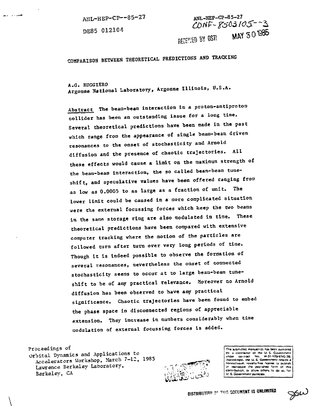ANL-HEP-CP—85-27

DE85 012104

2. . . .

ANL-HEP-CP-85-27 CONF-8503105--3 RECEMED BY OSTI MAY 30 1985

**COMPARISON BETWEEN THEORETICAL PREDICTIONS AND TRACKING**

**A.G. RUGGIERO no . Argonne National Laboratory, Argonne Illinois, U.S.A.**

**Abstract The bean-beam interaction in a proton-antiproton collider has been an outstanding issue for a long time. Several theoretical predictions have been made in the past which range from the appearance of single beam-beam driven** resonances to the onset of stochasticity and Arnold **diffusion and the presence of chaotic trajectories. All** these effects would cause a limit on the maximum strength of **the beam-beam interaction, the so called beam-beam tuneshift, and speculative values have been offered ranging from as low as 0.0005 to as large as a fraction of unit. The lower limit could be caused in a more complicated situation were the external focussing forces which keep the two beams in the sane storage ring are also modulated in time. These theoretical predictions have been compared with extensive computer tracking where the motion of the particles are followed turn after turn over very long periods of time. Though it is indeed possible to observe the formation of several resonances, nevertheless the onset of connected stochasticlty seems to occur at to large beam-beam tuneshift to be of any practical relevaace. Moreover no Arnold diffusion has been observed to have any practical significance. Chaotic trajectories have been found to embed the phase space in disconnected regions of appreciable extension. They increase in numbers considerably when time modulation of external focussing forces is added.**

Proceedings of

Orbital Dynamics and Applicat ions to Accelerators Workshop, March 7-12, 1985 Lawrence Berkeley Laboratory, Berkeley, CA



**I The su** bmitted manujcrial has been aurnored j utv<br>j or reproduce the published form of this contribution, or allow others to do so, for V. S. Government ournoses.

**DISTRIBUTION OF THIS GOCUMENT IS UNLIMITED** 

 $\cancel{\gg} \omega$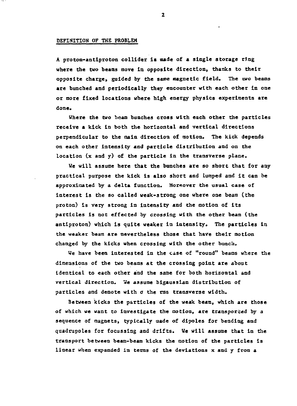## **DEFINITION OF THE PROBLEM**

**A proton-antlproton collider is made of a single storage ring where the two beans move in opposite direction, thanks to their opposite charge, guided by the same magnetic field. The two beams are bunched and periodically they encounter with each other in one or more fixed locations where high energy physics experiments are done.**

**Where the two beam bunches cross with each other the particles receive a kick in both the horizontal and vertical directions perpendicular to the main direction of motion. The kick depends on each other intensity and particle distribution and on the location (x and y) of the particle in the transverse plane.**

**We will assume here that the bunches are so short that for any practical purpose the kick is also short and lumped and it can be approximated by a delta function. Moreover the usual case of interest is the so called weak-strong one where one beam (the proton) is very strong in Intensity and the motion of its particles is not effected by crossing with the other beam (the antiproton) which is quite weaker in intensity. The particles in the weaker beam are nevertheless those that have their motion changed by the kicks when crossing with the other bunch.**

**We have been interested in the case of "round" beams where the dimensions of the two beams at the crossing point are about identical to each other and the same for both horizontal and vertical direction. We assume bigaussian distribution of particles and denote with o the ras transverse width.**

**Between kicks the particles of the weak beast, which are those of which we want to investigate the notion, are transported by a sequence of magnets, typically made of dipoles for bending and quadrupoles for focussing and drifts. We will assume that in the transport between beam-beam kicks the motion of the particles is linear when expanded in terms of the deviations x and y from a**

 $\overline{2}$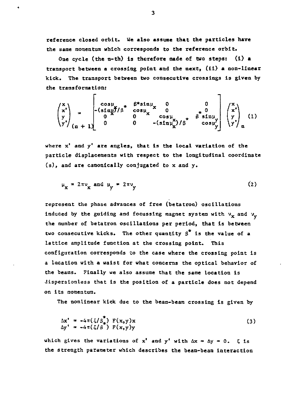**reference closed orbit. We also assume that the particles have the same momentum which corresponds to the reference orbit.**

**One cycle (the n-th) is therefore made of two steps: (i) a transport between a crossing point and the next, (ii) a non-linear kick. The transport between two consecutive crossings is given by the transformation:**

$$
\begin{pmatrix} x \\ x' \\ y' \\ y' \end{pmatrix} = \begin{pmatrix} \cos \mu & \beta * \sin \mu & 0 & 0 \\ -(\sin \mu)^2 / \beta & \cos \mu & 0 & 0 \\ 0 & 0 & \cos \mu & 0 & \beta * \sin \mu \\ 0 & 0 & -(\sin \mu)^2 / \beta & \cos \mu \end{pmatrix} \begin{pmatrix} x \\ x' \\ y \\ y' \end{pmatrix} (1)
$$

**where x' and y' are angles, that is the local variation of the particle displacements with respect to the longitudinal coordinate (s), and are canonically conjugated to x and y.**

$$
\mu_{\mathbf{x}} = 2\pi v_{\mathbf{x}} \text{ and } \mu_{\mathbf{y}} = 2\pi v_{\mathbf{y}} \tag{2}
$$

**represent the phase advances of free (betatron) oscillations induced by the guiding and focussing magnet system with**  $v_x$  **and**  $v_y$ **the number of betatron oscillations per period, that is between two consecutive kicks. The other quantity S is the value of a lattice amplitude function at the crossing point. This configuration corresponds to the case where the crossing point is a Location with a waist for what concerns the optical behavior of the beams. Finally we also assume that the same location is Jispersionless that is the position of a particle does not depend on its momentum.**

**The nonlinear kick due to the beam-beam crossing is given by**

$$
\Delta x^{\dagger} = -4\pi(\xi/\beta_{\star}^{\dagger}) \ F(x,y)x
$$
  
\n
$$
\Delta y^{\dagger} = -4\pi(\xi/\beta_{\star}^{\dagger}) \ F(x,y)y
$$
\n(3)

which gives the variations of  $x^1$  and  $y^1$  with  $\Delta x = \Delta y = 0$ .  $\xi$  is **the strength parameter which describes the beam-beam interaction**

 $\overline{\mathbf{3}}$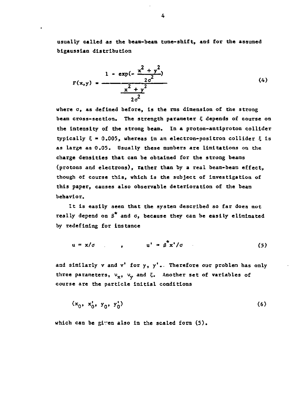**usually called as the beam-beam tune-shift, and for the assumed blgausslaa distribution**

$$
F(x,y) = \frac{1 - \exp(-\frac{x^2 + y^2}{2\sigma^2})}{\frac{x^2 + y^2}{2\sigma^2}}
$$
 (4)

**where a, as defined before, is the rms dimension of the strong beam cross-section. The strength parameter 5 depends of course on the intensity of the strong beam. In a proton-antiproton collider**  $typically \xi = 0.005$ , whereas in an electron-positron collider  $\xi$  is **as large as 0.05. Usually these numbers are limitations on the charge densities that can be obtained for the strong beams (protons and electrons), rather than by a real beam-beam effect, though of course this, which is the subject of investigation of this paper, causes also observable deterioration of the beam behavior.**

**It Is easily seen that the system described so far does not** really depend on  $\beta^*$  and  $\sigma$ , because they can be easily eliminated **by redefining for instance**

$$
u = x/\sigma \qquad , \qquad u' = \beta^{\mathsf{T}} x'/\sigma \qquad (5)
$$

and similarly v and v' for y, y'. Therefore our problen has only three parameters,  $v_x$ ,  $v_y$  and  $\bar{z}$ . Another set of variables of **course are the particle initial conditions**

$$
(x_0, x_0', y_0', y_0') \tag{6}
$$

**which can be given also in the scaled form (5).**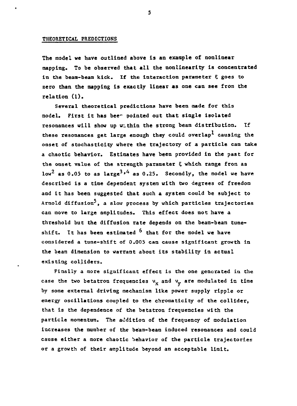### **THEORETICAL PREDICTIOKS**

**The model we have outlined above is an example of nonlinear mapping. To be observed that all the nonlinearity is concentrated** in the beam-beam kick. If the interaction parameter  $\xi$  goes to **zero than the mapping is exactly linear as one can see from the relation (1).**

**Several theoretical predictions have been made for this model. First it has bee- pointed out that single isolated resonances will show up within the strong beam distribution. If these resonances get large enough they could overlap\* causing the onset of stochastlcity where the trajectory of a particle can take a chaotic behavior. Estimates have been provided in the past for** the onset value of the strength parameter  $\xi$  which range from as low<sup>2</sup> as 0.05 to as large<sup>3,4</sup> as 0.25. Secondly, the model we have **described is a time dependent system with two degrees of freedom and it has been suggested that such a system could be subject to Arnold diffusion-", a slow process by which particles trajectories can move to large amplitudes. This effect does not have a threshold but the diffusion rate depends on the beam-beam tune**shift. It has been estimated <sup>6</sup> that for the model we have **considered a tune-shift of 0.005 can cause significant growth in the beam dimension to warrant about its stability in actual existing colliders.**

**Finally a more significant effect is the one generated in the** case the two betatron frequencies  $v_x$  and  $v_y$  are modulated in time **by some external driving mechanism like power supply ripple or energy oscillations coupled to the chromaticity of the collider, that is the dependence of the betatron frequencies with the particle momentum. The addition of the frequency of modulation increases the number of the beam-beam induced resonances and could cause either a more chaotic behavior of the particle trajectories or a growth of their amplitude beyond an acceptable limit.**

5.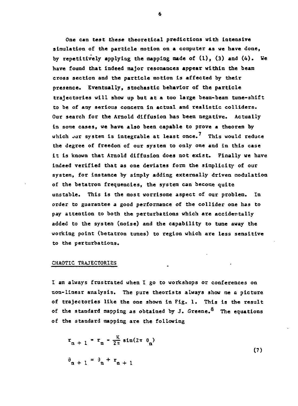**One can test these theoretical predictions with Intensive simulation of the particle motion on a computer as we have done, by repetitively applying the mapping made of (1), (3) and (4). We have found that indeed major resonances appear within the beam cross section and the particle motion is affected by their presence. Eventually, stochastic behavior of the particle trajectories will show up but at a too large beam-beam tune-shift to be of any serious concern in actual and realistic colliders. Our search for the Arnold diffusion has been negative. Actually in some cases, we have also been capable to prove a theorem by which jur system is integrable at least once. This would reduce the degree of freedom of our system to only one and in this case it is known that Arnold diffusion does not exist. Finally we have indeed verified that as one deviates form the simplicity of our system, for instance by simply adding externally driven modulation of the betatron frequencies, the system can become quite unstable. This Is the most worrisome aspect of our problem. In order to guarantee a good performance of the collider one has to pay attention to both the perturbations which are accidentally added to the system (noise) and the capability to tune awsy the working point (betatron tunes) to region which are less sensitive to the perturbations.**

### **CHAOTIC TRAJECTORIES**

**I am always frustrated when I go to workshops or conferences on non-linear analysis. The pure theorists always show me & picture of trajectories like the one shown in Fig. 1. This is the result of the standard mapping as obtained by J. Greene.<sup>8</sup> The equations of the standard mapping are the following**

$$
r_{n+1} = r_n - \frac{K}{2\pi} \sin(2\pi \theta_n)
$$
  
\n
$$
\theta_{n+1} = \theta_n + r_{n+1}
$$
 (7)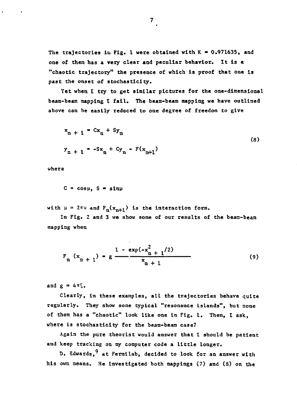The trajectories in Fig. 1 were obtained with  $K = 0.971635$ , and **one of them has a very clear and peculiar behavior. It is a "chaotic trajectory" the presence of which is proof that one is past the onset of stochasticity.**

**Yet when I try to get similar pictures for the one-dimensional beam-beam mapping I fail. The beam-beam napping we have outlined above can be easily reduced to one degree of freedom to give**

$$
x_n + 1 = Cx_n + Sy_n
$$
  
\n
$$
y_{n+1} = -Sx_n + Cy_n - F(x_{n+1})
$$
\n(8)

**where**

$$
C = \cos \mu
$$
,  $S = \sin \mu$ 

with  $\mu = 2\pi\nu$  and  $F_n(x_{n+1})$  is the interaction form.

**In Fig. 2 and 3 we show some of our results of the bean-beam mapping when**

$$
F_n(x_{n+1}) = g \frac{1 - \exp(-x_{n+1}^2/2)}{x_{n+1}}
$$
 (9)

and  $g = 4T^c$ .

**Clearly, in these examples, all the trajectories behave quite regularly. They show some typical "resonance islands", but none of them has a "chaotic" look like one in Fig. 1. Then, I ask, where is stochasticity for the beam-beam case?**

**Again the pure theorist would answer that I should be patient** and keep tracking on my computer code a little longer.

D. Edwards, <sup>9</sup> at Fermilab, decided to look for an answer with **his own means. He investigated both mappings (7) and (8) on the**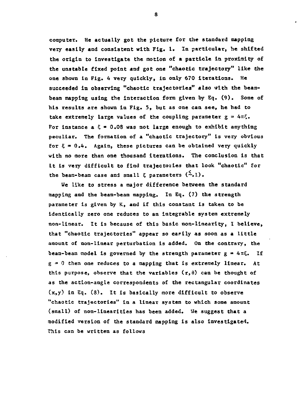**computer. He actually got the picture for the standard mapping very easily and consistent with Fig. 1. In particular, he shifted the origin to investigate the motion of a particle in proximity of the unstable fixed point and got one "chaotic trajectory" like the one shown in Fig. 4 very quickly, is only 670 iterations. He succeeded in observing "chaotic trajectories" also with the beambean mapping using the interaction form given by Eq. (9). Some of his results are shown in Fig. 5, but as one can see, he had to** take extremely large values of the coupling parameter  $g = 4\pi \xi$ . For instance  $a \tisin 0.08$  was not large enough to exhibit anything **peculiar. The formation of a "chaotic trajectory" is very obvious for 5 • 0.4. Again, these pictures can be obtained very quickly with no more than one thousand iterations. The conclusion is that it is very difficult to find trajectories that look "chaotic" for** the beam-beam case and small  $\xi$  parameters  $(\stackrel{\leq}{\sim},1)$ .

**We like to stress a major difference between the standard mapping and the beam-beam mapping. In Eq. (7) the strength parameter is given by K, and if this constant is taken to be Identically zero one reduces to an integrable system extremely non-linear. It is because of this basic non-linearity, I believe,** that "chaotic trajectories" appear so easily as soon as a little **amount of non-linear perturbation is added. On the contrary, the** beam-beam model is governed by the strength parameter  $g = 4\pi\xi$ . If **g = 0 then one reduces to a mapping that is extremely linear. At** this purpose, observe that the variables  $(r, \theta)$  can be thought of **as the action-angle correspondents of the rectangular coordinates (x,y) in Eq. (8). It is basically more difficult to observe "chaotic trajectories" in a linear system to which some amount (small) of non-linearities has been added. Me suggest that a modified version of the standard mapping is also investigated. This can be written as follows**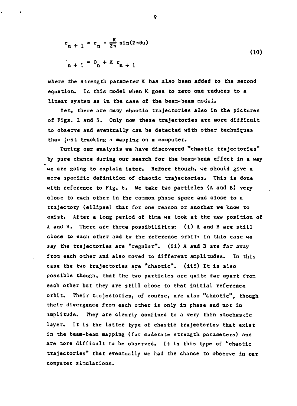$$
r_{n+1} = r_{n} - \frac{K}{2\pi} \sin(2\pi\theta u)
$$
\n
$$
r_{n+1} = \theta_{n} + K r_{n+1}
$$
\n(10)

**where the strength parameter K has also been added to the second equation. In this model when K goes to zero one reduces to a linear system as in the case of the beam-beam model.**

**Yet, there are many chaotic trajectories also in the pictures of Figs. 2 and 3. Only now these trajectories are more difficult to observe and eventually can be detected with other techniques than just tracking a mapping on a computer.**

**During our analysis we have discovered "chaotic trajectories" by pure chance during our search for the beam-beam effect in a way we are going to explain later. Before though, we should give a more specific definition of chaotic trajectories. This is done with reference to Fig. 6. We take two particles (A and B) very close to each other in the common phase space and close to a trajectory (ellipse) that for one reason or another we know to exist. After a long period of time we look at the new position of A. and B. There are three possibilities: (i) A and B are still close to each other and to the reference orbit' in this case we say the trajectories are "regular", (ii) A and B are far away from each other and also moved to different amplitudes. In this case the two trajectories are "chaotic", (iii) It is also possible though, that the two particles are quite far apart from each other but they are still close to that initial reference orbit. Their trajectories, of course, are also "chaotic", though their divergence from each other is only in pha3e and not in amplitude. They are clearly confined to a very thin stochastic layer. It Is the latter type of chaotic trajectories that exist in the beam-beam mapping (for moderate strength parameters) and are more difficult to be observed. It is this type of "chaotic trajectories" that eventually we had the chance to observe in our computer simulations.**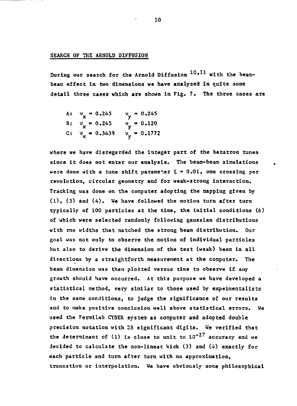## **SEARCH OF THE ARNOLD DIFFUSION**

**During our search for the Arnold Diffusion <sup>10</sup> » <sup>1</sup> <sup>1</sup> with the beambeam effect in two dimensions we have analyzed in quite some detail three cases which are shown In Fig. 7. The three cases are**

A: 
$$
v_x = 0.245
$$
  $v_y = 0.245$   
\nB:  $v_x = 0.245$   $v_y = 0.120$   
\nC:  $v_x = 0.3439$   $v_y = 0.1772$ 

**where we have disregarded the integer part of the betatron tunes since it does not enter our analysis. The beam-beam simulations were done with a tune shift parameter 5 = 0.01, one crossing per revolution, circular geometry and for weak-strong interaction. Tracking was done on the computer adopting the mapping given by (1), (3) and (4). We have followed the motion turn after turn typically of 100 particles at the time, the initial conditions (6) of which were selected randomly following gaussian distributions with rms widths that matched the strong beam distribution. Our goal was not only to observe the motion of individual particles but also to derive the dimension of the test (weak) beam in all directions by a straightforth measurement at the computer. The beam dimension was then plotted versus time to observe if auy growth should have occurred. At this purpose we have developed a statistical method, very similar to those used by expeimentalists in the same conditions, to judge the significance of our results and to make positive conclusion well above statistical errors. We used the Fermi lab CYBER system as computer and adopted double precision notation with 23 significant digits. We verified that the determinant of (1) Is close to unit to 10~<sup>27</sup> accuracy and we decided to calculate the non-linear kick (3) and (4) exactly for each particle and turn after turn with no approximation, truncation or interpolation. We have obviously some philosophical**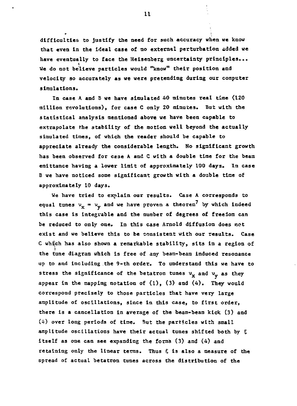**difficulties to justify the need for such accuracy when we know that even In the ideal case of no external perturbation added we have eventually to face the Heisenberg uncertainty principles...** i **We do not believe particles would "know" their position and velocity so accurately as we were pretending during our computer simulations.**

**In case A. and B we have simulated 40 minutes real time (120 million revolutions), for case C only 20 minutes. But with the statistical analysis mentioned above we have been capable to extrapolate the stability of the motion well beyond the actually simulated times, of which the reader should be capable to appreciate already the considerable length. No significant growth has been observed for ca3e A and C with a double time for the beam emittance having a lower limit of approximately 100 days. In case B we have noticed some significant growth with a double time of approximately 10 days.**

**We have tried to explain our results. Case A corresponds Co** equal tunes  $v_x = v_y$  and we have proven a theorem<sup>7</sup> by which indeed **this case is integrable and the number of degrees of freedom can be reduced to only one. In this case Arnold diffusion does not exist and we believe this to be consistent with our results. Case C whijch has also shown a remarkable stability, sits in a region of the tune diagram which is free of any beam-beam induced resonance up to and including the 9-th order. To understand this we have to** stress the significance of the betatron tunes  $v_x$  and  $v_y$  as they **appear in the mapping notation of (1), (3) and (4). They would correspond precisely to those particles that have very large amplitude of oscillations, since in this case, to first order, there is a cancellation in average of the beam-beam kick (3) and (i) over long periods of time. But the particles with small amplitude oscillations have their actual tunes shifted both by 5 itself as one can see expanding the forms (3) and (4) and retaining only the linear terms. Thus ? Is also a measure of the spread of actual betatron tunes across the distribution of the**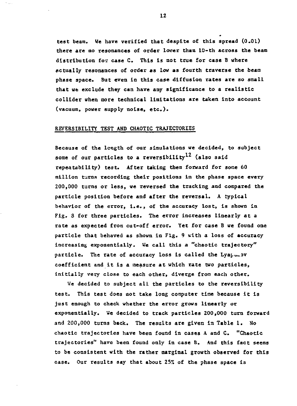**test beam. We hare verified that despite of this spread (0.01) there are no resonances of order lower than 10-th across the beam distribution for case C. This is not true for case 6 where Actually resonances of order \*s lent as fourth traverse the beam phese space. But even in this case diffusion rates are so small that we exclude they can have any significance to a realistic collider when more technical limitations are taken into account (vacuum, power supply noise, etc.).**

# **REVERSIBILITY TEST AMD CHAOTIC TRAJECTORIES**

**Because of the length of our simulations we decided, to subject some of our particles to a reversibility (also said repeatability) test. After taking them forward for some 60 million turns recording their positions in the phase space every 200,000 turns or less, we reversed the tracking and compared the particle position before and after the reversal. A typical behavior of the error, i.e., of the accuracy lost, is shown in Fig. 3 for three particles. The error increases linearly at a rate as expected from cut-off error. Yet for case B we found one particle that behaved as shown in Fig. 9 with a loss of accuracy increasing exponentially. He call this a "chaotic trajectory"** particle. The rate of accuracy loss is called the Lya<sub>Lu-</sub>ov **coefficient and it is a measure at which rate two particles, initially very close to each other, diverge from each other.**

**We decided to subject all the particles to the reversibility test. This test does not take long computer time because it is just enough to check whether the error grows linearly or exponentially. He decided to track particles 200,000 turn forward and 200,000 turns back. The results are given in Table 1. No chaotic trajectories have been found in cases A and C. "Chaotic trajectories" have been found only in case B. And this fact seems to be consistent with the rather marginal growth observed for this case. Our results say that about 25% of the phase space Is**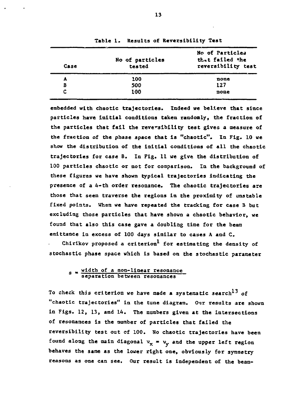| Case | No of particles<br>tested | No of Particles<br>that failed the<br>reversibility test |
|------|---------------------------|----------------------------------------------------------|
| A    | 100                       | none                                                     |
| B    | 500                       | 127                                                      |
| c    | 100                       | none                                                     |

**Table 1. Results of Reversibility Test**

**embedded with chaotic trajectories. Indeed we believe that since particles have initial conditions taken randomly, the fraction of the particles that fail the reversibility test gives a measure of the fraction of the phase space that is "chaotic". In Fig. 10 we show the distribution of the initial conditions of all the chaotic trajectories for case B. In Fig. 11 we give the distribution of 100 particles chaotic or not for comparison. In the background of these figures we have shown typical trajectories indicating the presence of a 4-th order resonance. The chaotic trajectories are those that seem traverse the regions in the proximity of unstable fixed points. Whsn we have repeated the tracking for case B but excluding those particles that have shown a chaotic behavior, we found that also this case gave a doubling time for the beam emlttance in excess of 100 days similar to cases A and C.**

Chirikov proposed a criterion<sup>1</sup> for estimating the density of **stochastic phase space which is based on the stochastic parameter**

# **<sup>s</sup> ^ width of a non-linear resonance separation between resonances**

**To check this criterion we have made a systematic search''<sup>3</sup> of "chaotic trajectories" in the tune diagram. Our results are shown in Figs. 12, 13, and 14. The numbers given at the intersections of resonances is the number of particles that failed the reversibility test out of 100. No chaotic trajectories have been** found along the main diagonal  $v_x = v_y$  and the upper left region **behaves the same as the lower right one, obviously for symmetry reasons as one can see. Our result is independent of the beam-**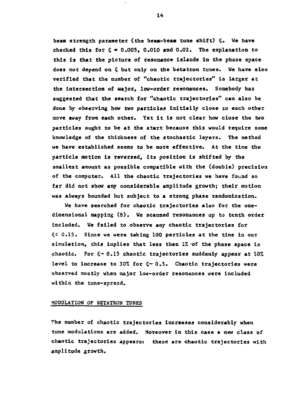**bean strength parameter (the beas-beas tune shift) ?. We have** checked this for  $\epsilon = 0.005$ , 0.010 and 0.02. The explanation to **this is that the picture of resonance islands is the phase space does not depend on 5 but only on the betatron tuaes. We have also verified that the number of "chaotic trajectories" is larger at the intersection of uajor, low-order resonances. Somebody has suggested that the search for "chaotic trajectories" can also be done by observing how two particles initially close to each other move away froa each other. Yet it is not clear how close the two particles ought to be at the start because this would require some knowledge of the thickness of the stochastic layers. The method we have established seems to be more effective. At the time the particle motion is reversed, its position is shifted by the smallest amount as possible compatible with the (double) precision of the computer. All the chaotic trajectories we have found so far did not show any considerable amplitude growth; their motion was always bounded but subject to a strong phase randomization.**

**We have searched for chaotic trajectories also for the one\* dimensional mapping (8). We scanned resonances up to tenth order included. We failed to observe any chaotic trajectories for 5< 0.15. Since we were taking 100 particles at the time in our simulation, this implies that less than 1% -of the phase space is** chaotic. For  $\xi \sim 0.15$  chaotic trajectories suddenly appear at 10% **level to increase to 30% for 5~ 0.3. Chaotic trajectories were observed mostly when major low-order resonances were included within the tune-spread.**

## **MODULATION OF BETATRON TUNES**

**The number of chaotic trajectories increases considerably when tune modulations are added. Moreover in this case a new class of chaotic trajectories appears: these are chaotic trajectories with amplitude growth.**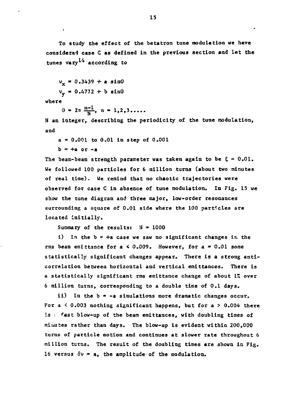**To study the effect of the betatron tune modulation we have considered case C as defined in the previous section and let the tunes vary<sup>1</sup> ^ according to**

**vx » 0.3439 + a sinQ**  $v_r = 0.4772 + b \sin\theta$ 

**where**

 $\theta = 2\pi \frac{n-1}{N}$ ,  $n = 1,2,3...$ 

**N an integer, describing the periodicity of the tune modulation, and**

**a > 0.001 to 0.01 in step of 0.001 b = +a or -a**

The beam-beam strength parameter was taken again to be  $\xi = 0.01$ . **We followed 100 particles for 6 million turns (about two minutes of real time). We remind that no chaotic trajectories were observed for case C in absence of tune modulation. In Fig. 15 we show the tune diagram and three major, low-order resonances surrounding a square of 0.01 side where the 100 particles are located initially.**

**Summary of the results: N » 1000**

 $i)$  In the  $b = +a$  case we saw no significant changes in the **rms beam emittance for a < 0.009. However, for a « 0.01 some statistically significant changes appear. There is a strong anticorrelation between horizontal and vertical emittances. There is a statistically significant rms emittance change of about 1% over 6 million turns, corresponding to a double time of 0.1 days.**

**ii) In the b » -a simulations more dramatic changes occur. For a < 0.003 nothing significant happens, but for a > 0.004 there is . fast blow-up of the beam emittances, with doubling times of minutes rather than days. The blow-up is evident within 200,000 turns of particle motion and continues at slower rate throughout 6 million turns. The result of the doubling times are shown in Fig. 16 versus 5v = a, the amplitude-of the modulation.**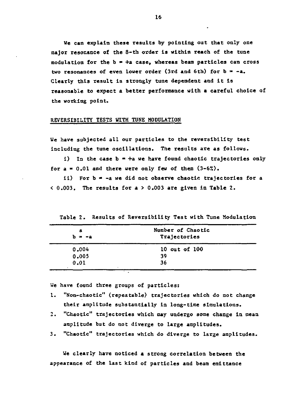**We can explain these results by pointing out that only one major resonance of the 8-th order is within reach of the tune modulation for the b » +a case, whereas beam particles can cross** two resonances of even lower order (3rd and 6th) for  $b = -a$ . **Clearly this result is strongly tune dependent and it is reasonable to expect a better performance with a careful choice of the working point.**

### **REVERSIBILITY TESTS WITH TUNE MODDLATIOH**

**We have subjected all our particles to the reversibility test including the tune oscillations. The results are as follows.**

 $i)$  In the case  $b = +a$  we have found chaotic trajectories only **for a » 0.01 and there were only few of them (3-6%).**

**ii) For b - -a we did not observe chaotic trajectories for a < 0.003. The results for a > 0.003 are given in Table 2.**

| а<br>$b = -a$ | Number of Chaotic<br>Trajectories |
|---------------|-----------------------------------|
| 0.004         | 10 out of 100                     |
| 0.005         | 39                                |
| 0.01          | 36                                |

**Table 2. Results of Reversibility Test with Tune Modulation**

**We have found three groups of particles:**

- **1. "Non-chaotic" (repeatable) trajectories which do not change their amplitude substantially in long-time simulations.**
- **2. "Chaotic" trajectories which may undergo some change in mean amplitude but do not diverge to large amplitudes.**
- **3. "Chaotic" trajectories which do diverge to large amplitudes.**

**We clearly have noticed a strong correlation between the appearance of the last kind of particles and bean emittance**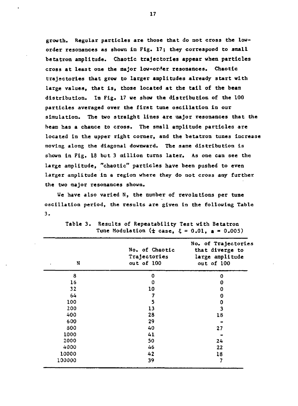**growth. Regular particles are those that do not cross the loworder resonances as shows in Fig. 17; they correspond to small betatron amplitude. Chaotic trajectories appear when particles cross at least one the major low-order resonances. Chaotic trajectories that grow to larger amplitudes already start with large values, that is, those located at the tail of the beam** distribution. In Fig. 17 we show the distribution of the 100 **particles averaged over the first tune oscillation in our simulation. The two straight lines are major resonances that the beam has a chance to cross. The small amplitude particles are located in the upper right corner, and the betatron tunes increase moving along the diagonal downward. The same distribution is shown in Fig. 18 but 3 million turns later. As one can see the large amplitude, "chaotic" particles have been pushed to even larger amplitude in a region where they do not cross any further the two major resonances shown.**

**We have also varied N, the number of revolutions per tune oscillation period, the results are given in the following Table 3.**

| N      | No. of Chaotic<br>Trajectories<br>out of 100 | No. of Trajectories<br>that diverge to<br>large amplitude<br>out of 100 |
|--------|----------------------------------------------|-------------------------------------------------------------------------|
| 8      | 0                                            | 0                                                                       |
| 16     | 0                                            | 0                                                                       |
| 32     | 10                                           | 0                                                                       |
| 64     | 7                                            | 0                                                                       |
| 100    | 5                                            | 0                                                                       |
| 200    | 13                                           | 3                                                                       |
| 400    | 28                                           | 18                                                                      |
| 600    | 29                                           |                                                                         |
| 800    | 40                                           | 27                                                                      |
| 1000   | 41                                           |                                                                         |
| 2000   | 50                                           | 24                                                                      |
| 4000   | 46                                           | 22                                                                      |
| 10000  | 42                                           | 18                                                                      |
| 100000 | 39                                           | 7                                                                       |

**Table 3. Results of Repeatability Test with Betatron** Tune Modulation  $(± case,  $ξ = 0.01, a = 0.005)$ )$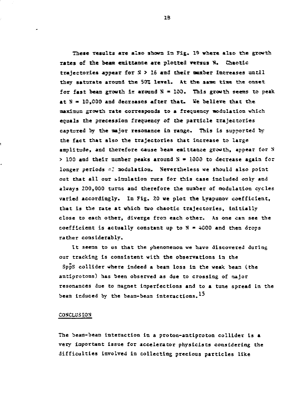**These resalts are also shoes la Fig. 19 where also the growth Tales of the beast exittanse are plotted versus 13. Chaotic trajectories appear for S > 15 and their aesber Increases until** they saturate around the 50% level. At the same time the onset for fast beam growth is around N = 100. This growth seems to peak **at H » 10,000 and decreases after that. Ve believe that the aaxi-mun growth rate corresponds to a frequency modulation which equals the precession frequency of the particle trajectories captured by the aajor resonance ia range. This is supported by the fact that also the trajectories Chat increase to large amplitude, and therefore cause beaa eaittaace growth, appear for X > 100 and their noaber peaks around K » 1000 to decrease again for** longer periods of modulation. Nevertheless we should also point **out that all oar ^initiation rues for this case included only and always 200,000 turns and therefore the nuaber of aodulation cycles varied accordingly. In Fig. 20 ve plot the Lyapunov coefficient, that is the rate at which two chaotic trajectories, initially close to each other, diverge fron each other. As one can see the coefficient is actually constant up to N » 4000 and then drops rather considerably.**

**It seeas to us that the phenomenon we have discovered during our tracking is consistent with the observations ia the**

**SppS collider where indeed a bean loss in the weak bean (the aatiprotons) has been observed as due to crossing of niajor resonances due to magnet imperfections and to a tune spread in the beaa induced by the beam-beam interactions.**

## **CONCLUSION**

**The beam-bean interaction in a proton-antiproton collider is a very iaportant issue for accelerator physicists considering Che difficulties involved in collecting precious particles like**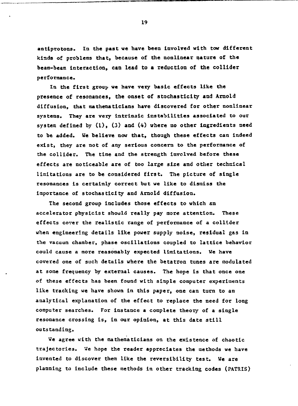**anttprotons. In the past we have been Involved with tow different kinds of problems that, because of the nonlinear nature of the beam-beam interaction, can lead to a reduction of the collider performance.**

**In the first group we have very basic effects like the presence of resonances, the onset of stochasticity and Arnold diffusion, that mathematicians have discovered for other nonlinear systems. They are very intrinsic instabilities associated to our system defined by (1), (3) and (4) where no other ingredients need to be added. We believe now that, though these effects can indeed exist, they are not of any serious concern to the performance of the collider. The time and the strength involved before these effects are noticeable are of too large size and other technical limitations are to be considered first. The picture of single resonances is certainly correct but we like to dismiss the importance of stochasticity and Arnold diffusion.**

**The second group includes those effects to which en accelerator physicist should really pay more attention. These effects cover the realistic range of performance of a collider when engineering details like power supply noise, residual gas in the vacuum chamber, phase oscillations coupled to lattice behavior could cause a more reasonably expected limitations. We have covered one of such details where the betatron tunes are modulated at some frequency by external causes. The hope is that once one of these effects has been found with simple computer experiments like tracking we have shown In this paper, one can turn to an analytical explanation of the effect to replace the need for long computer searches. For instance a complete theory of a single resonance crossing is, in our opinion, at this date still outstanding.**

**We agree with the mathematicians on the existence of chaotic trajectories. We hope the reader appreciates the methods we have invented to discover them like the reversibility test. We are planning to include these methods in other tracking codes (PATRIS)**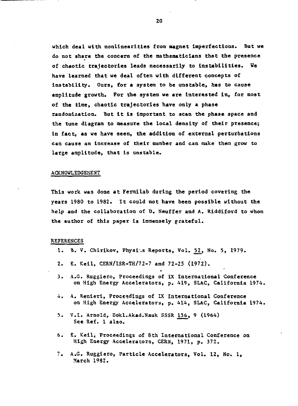**which deal with nonlinear!ties from magnet Imperfections. But we do not share the concern of the mathematicians that the presence of chaotic trajectories leads necessarily to instabilities. We have learned that we deal often with different concepts of instability. Ours, for a system to be unstable, has to cause amplitude growth. For the system we are interested in, for most of the time, chaotic trajectories have only a phase randomization. But it is important to scan the phase space and the tune diagram to measure the local density of their presence; in fact, as we have seen, the addition of external perturbations can cause an Increase of their number and can make them grow to large amplitude, that is unstable.**

#### **ACKNOWLEDGEMENT**

This work was done at Fermilab during the period covering the **years 1980 to 1982.** It could not have been possible without the **help and the collaboration of D. Neuffer and A. Riddiford to whom the author of this paper is immensely grateful .**

#### **REFERENCES**

- **1. B. V. Chirikov, Physiss Reports, Vol. <u>52</u>, No. 5, 1979.**
- **2. E. Keil, CERN/ISR-TH/72-7 and 72-25 (1972).**
- **3 . A.G. Ruggiero, Proceedings of IX International Conference on High Energy Accelerators, p. 419, SLAC, California 1974.**
- **4 . A. Renieri, Proceedings of IX International Conference on High Energy Accelerators, p. 414, SLAC, California 1974.**
- **5. V.I. Arnold, Dokl.Akad.Nauk SSSR 156, 9 (1964) See Ref. 1 also .**
- **6. E. Keil, Proceedings of 3th International Conference on High Energy Accelerators, CERN, 1971, p. 372.**
- **7. A.G. Ruggiero, Particle Accelerators, Vol. 12, No. 1, March 1982.**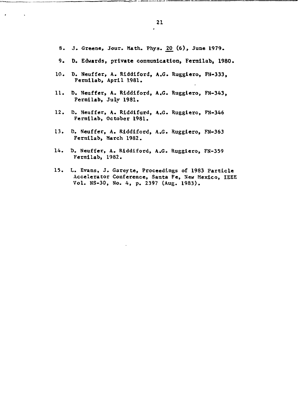- **S. J. Greene, Jour. Hath. Phys. \_20\_ (6), June 1979.**
- **9. D. Edwards, private communication, Fermilab, 1980.**
- **10. D. Neuffer, A. Riddiford, A.G. Ruggiero, FH-333, Fermilab, April 1981.**
- **11. D. Neuffer, A. Riddiford, A.G. Ruggiero, FN-343, Fermilab, July 1981.**
- **12. D. Neuffer, A. Riddifurd, A.G. Ruggiero, FN-346 Fermilab, October 1981.**
- **13. D. Neuffer, A. Riddiford, A.G. Ruggiero, FN-363 Fermilab, March 1982.**
- **14. D. Neuffer, A. Riddiford, A.G. Ruggiero, FN-359 Fermilab, 1982.**
- **15. L. Evans, J. Gareyte, Proceedings of 1983 Particle Accelerator Conference, Santa Fe, Sew Mexico, IEEE Vol. NS-30, No. 4, p. 2397 (Aug. 1983).**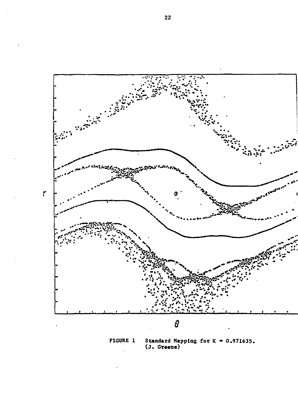

Standard Mapping for  $K = 0.971635$ .<br>(J. Greene) FIGURE 1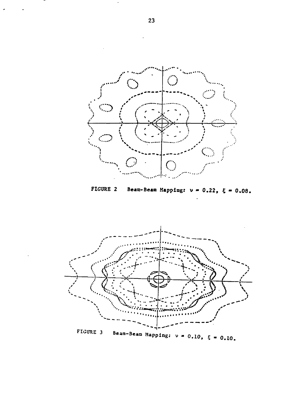

FIGURE 2 Beam-Beam Mapping:  $v = 0.22$ ,  $\xi = 0.08$ .

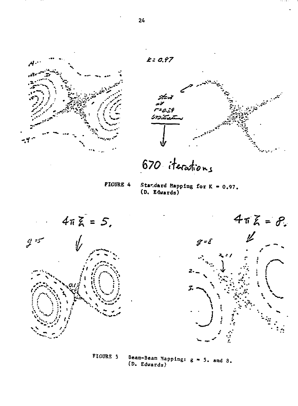



670 iterations

**FIGURE 4** 

Standard Mapping for  $K = 0.97$ . (D. Edwards)





FIGURE 5 Beam-Beam Mapping: g = 5. and 8.<br>(D. Edwards)

 $24$ 

 $k: 0.97$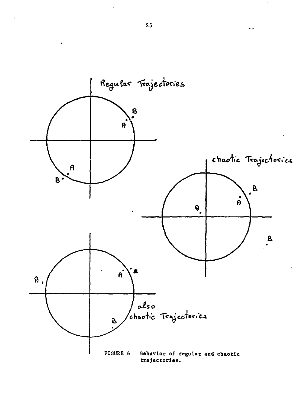

 $\omega_{\rm eff}$  .

 $\ddot{\phantom{0}}$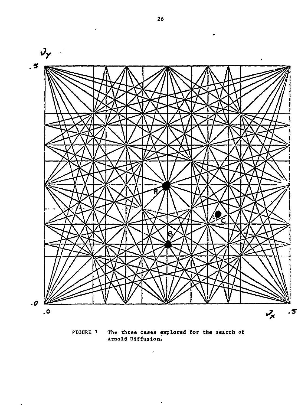

**FIGURE 7 The three cases explored for the search of Arnold Diffusion.**

 $\hat{\mathcal{S}}$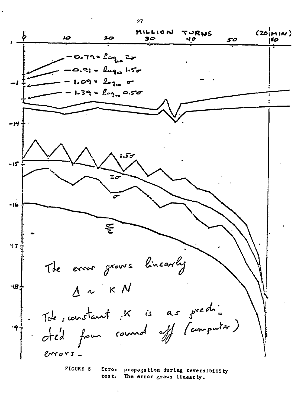$(20|m|N)$ **MILLION** TURNS Ļ IO 20 30 40 50 160  $0.79 - \log_{10} 27$  $a_i - b_{23}$  1.50  $09 - 202 - 5$  $39 = 106$  associated ٠Ή -15 **-Ifcf**  $\frac{c}{2}$ **17 +** The error grows linearly  $4 n k N$ -18 Tote ; constant K is as predidécident count est (computer) -19  $exccos$ 

27

**FIGURE 8 Error propagation during reversibility test. The error grows linearly.**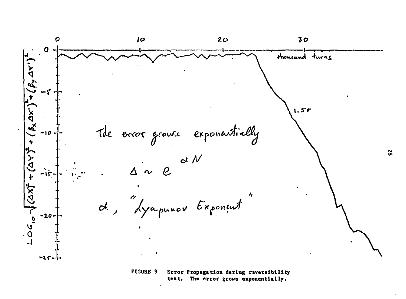

**test. The error grows exponentially.**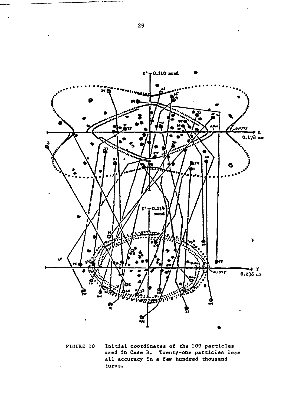

Initial coordinates of the 100 particles FIGURE 10 used in Case B. Twenty-one particles lose all accuracy in a few hundred thousand turns.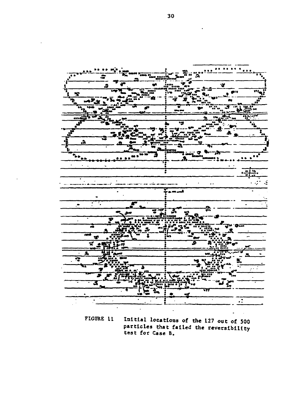

FIGURE 11 Initial locations of the 127 out of 500 particles that failed the reversibility<br>test for Case B.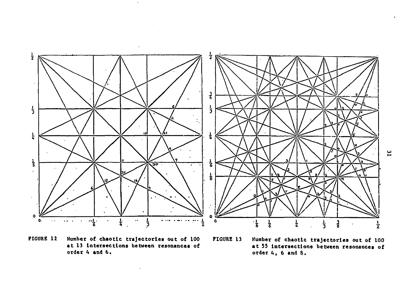

**FIGURE 12 Number of chaotic trajectories out of 100 FIGURE 13 Kuraber of chaotic trajectories out of 100**

 $\sim$ 

 $\ddot{\phantom{a}}$ 

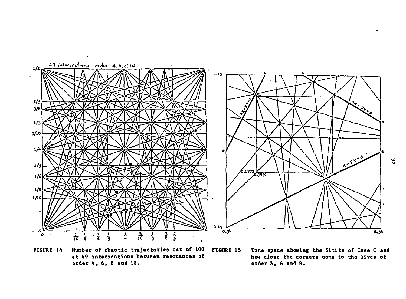

**FIGURE 14 Number of chaotic trajectories out of 100 FIGURE 15 Tune space showing the limits of Case C and order 4,6, 8 and 10. order 3,6 and 8.**

how close the corners come to the lives of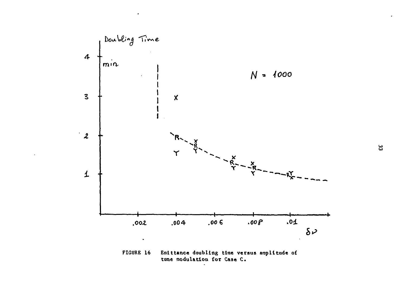

FIGURE 16 Emittance doubling time versus amplitude of tune modulation for Case C.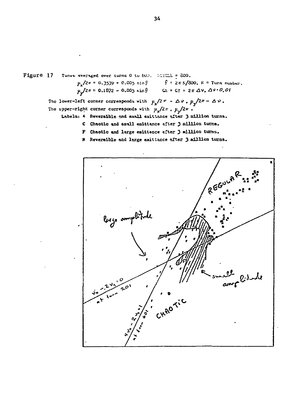Figure 17 Tunes averaged over turns 0 to 500. SCICE = 800.  $p_x/2\pi = 0.3539 + 0.005 \sin \frac{\beta}{2} = \frac{2\pi k}{200}, k = \text{Turn number.}$  $\mu \sqrt{2\pi} = 0.1872 - 0.005 \sin \theta$   $Q = Q = 2\pi \Delta v$ ,  $\Delta v = 0.01$ 

The lower-left corner corresponds with  $\mu_x/2 \pi - \Delta \nu$ .  $\mu_x/2\pi - \Delta \nu$ .

- The upper-right corner corresponds with  $\mu_{x}/2\pi$ ,  $\mu_{x}/2\pi$ .
	- Labels: A Reversible and small enittance after 3 million turns.
		- C Chaotic and small emittance after 3 million turns.
		- F Chaotic and large emittance after 3 million turns.
		- N Reversible and large emittance after 3 million turns.

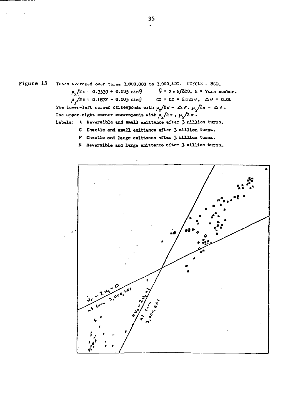

- F Chaotic and large emittance after 3 million turns.
- N Reversible and large enittance after 3 million turns.

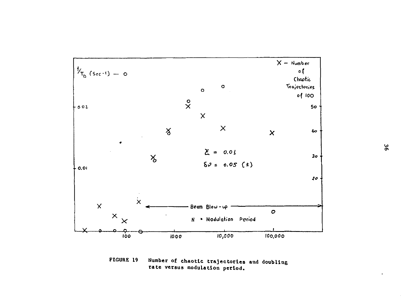

FIGURE 19 Number of chaotic trajectories and doubling rate versus modulation period.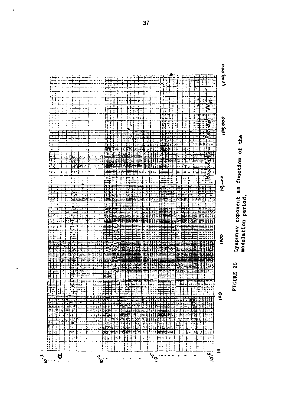